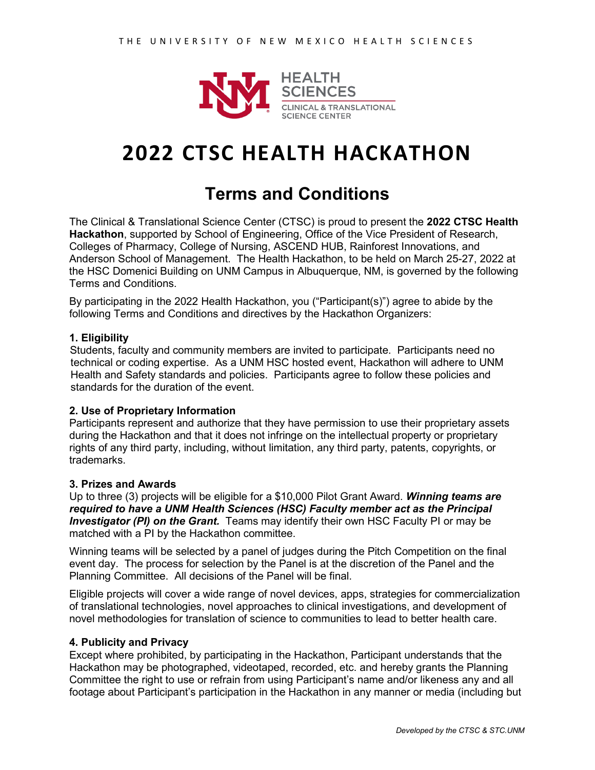

# **2022 CTSC HEALTH HACKATHON**

# **Terms and Conditions**

The Clinical & Translational Science Center (CTSC) is proud to present the **2022 CTSC Health Hackathon**, supported by School of Engineering, Office of the Vice President of Research, Colleges of Pharmacy, College of Nursing, ASCEND HUB, Rainforest Innovations, and Anderson School of Management. The Health Hackathon, to be held on March 25-27, 2022 at the HSC Domenici Building on UNM Campus in Albuquerque, NM, is governed by the following Terms and Conditions.

By participating in the 2022 Health Hackathon, you ("Participant(s)") agree to abide by the following Terms and Conditions and directives by the Hackathon Organizers:

# **1. Eligibility**

Students, faculty and community members are invited to participate. Participants need no technical or coding expertise. As a UNM HSC hosted event, Hackathon will adhere to UNM Health and Safety standards and policies. Participants agree to follow these policies and standards for the duration of the event.

# **2. Use of Proprietary Information**

Participants represent and authorize that they have permission to use their proprietary assets during the Hackathon and that it does not infringe on the intellectual property or proprietary rights of any third party, including, without limitation, any third party, patents, copyrights, or trademarks.

### **3. Prizes and Awards**

Up to three (3) projects will be eligible for a \$10,000 Pilot Grant Award. *Winning teams are required to have a UNM Health Sciences (HSC) Faculty member act as the Principal Investigator (PI) on the Grant.* Teams may identify their own HSC Faculty PI or may be matched with a PI by the Hackathon committee.

Winning teams will be selected by a panel of judges during the Pitch Competition on the final event day. The process for selection by the Panel is at the discretion of the Panel and the Planning Committee. All decisions of the Panel will be final.

Eligible projects will cover a wide range of novel devices, apps, strategies for commercialization of translational technologies, novel approaches to clinical investigations, and development of novel methodologies for translation of science to communities to lead to better health care.

### **4. Publicity and Privacy**

Except where prohibited, by participating in the Hackathon, Participant understands that the Hackathon may be photographed, videotaped, recorded, etc. and hereby grants the Planning Committee the right to use or refrain from using Participant's name and/or likeness any and all footage about Participant's participation in the Hackathon in any manner or media (including but